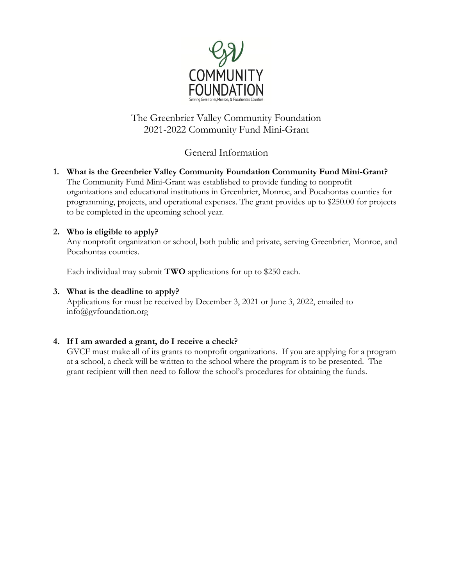

# The Greenbrier Valley Community Foundation 2021-2022 Community Fund Mini-Grant

### General Information

**1. What is the Greenbrier Valley Community Foundation Community Fund Mini-Grant?** The Community Fund Mini-Grant was established to provide funding to nonprofit organizations and educational institutions in Greenbrier, Monroe, and Pocahontas counties for programming, projects, and operational expenses. The grant provides up to \$250.00 for projects to be completed in the upcoming school year.

#### **2. Who is eligible to apply?**

Any nonprofit organization or school, both public and private, serving Greenbrier, Monroe, and Pocahontas counties.

Each individual may submit **TWO** applications for up to \$250 each.

#### **3. What is the deadline to apply?**

Applications for must be received by December 3, 2021 or June 3, 2022, emailed to info@gvfoundation.org

#### **4. If I am awarded a grant, do I receive a check?**

GVCF must make all of its grants to nonprofit organizations. If you are applying for a program at a school, a check will be written to the school where the program is to be presented. The grant recipient will then need to follow the school's procedures for obtaining the funds.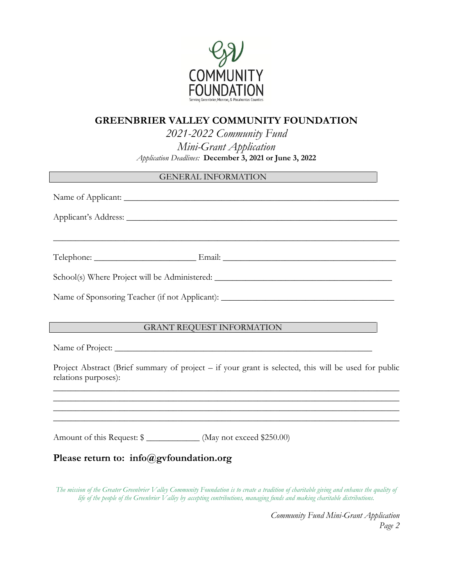

# **GREENBRIER VALLEY COMMUNITY FOUNDATION**

*2021-2022 Community Fund*

*Mini-Grant Application Application Deadlines:* **December 3, 2021 or June 3, 2022**

#### GENERAL INFORMATION

| <u> 1989 - Johann Harry Harry Harry Harry Harry Harry Harry Harry Harry Harry Harry Harry Harry Harry Harry Harry</u>                                 |
|-------------------------------------------------------------------------------------------------------------------------------------------------------|
|                                                                                                                                                       |
| School(s) Where Project will be Administered: __________________________________                                                                      |
| Name of Sponsoring Teacher (if not Applicant): __________________________________                                                                     |
|                                                                                                                                                       |
| GRANT REQUEST INFORMATION                                                                                                                             |
|                                                                                                                                                       |
| Project Abstract (Brief summary of project – if your grant is selected, this will be used for public<br>relations purposes):                          |
|                                                                                                                                                       |
| ,我们也不能在这里的时候,我们也不能在这里的时候,我们也不能在这里的时候,我们也不能会不能会不能会不能会不能会不能会不能会不能会。<br>第2012章 我们的时候,我们的时候,我们的时候,我们的时候,我们的时候,我们的时候,我们的时候,我们的时候,我们的时候,我们的时候,我们的时候,我们的时候,我 |
| Amount of this Request: \$ _____________ (May not exceed \$250.00)                                                                                    |
| Please return to: info@gvfoundation.org                                                                                                               |

*The mission of the Greater Greenbrier Valley Community Foundation is to create a tradition of charitable giving and enhance the quality of life of the people of the Greenbrier Valley by accepting contributions, managing funds and making charitable distributions.*

> *Community Fund Mini-Grant Application Page 2*